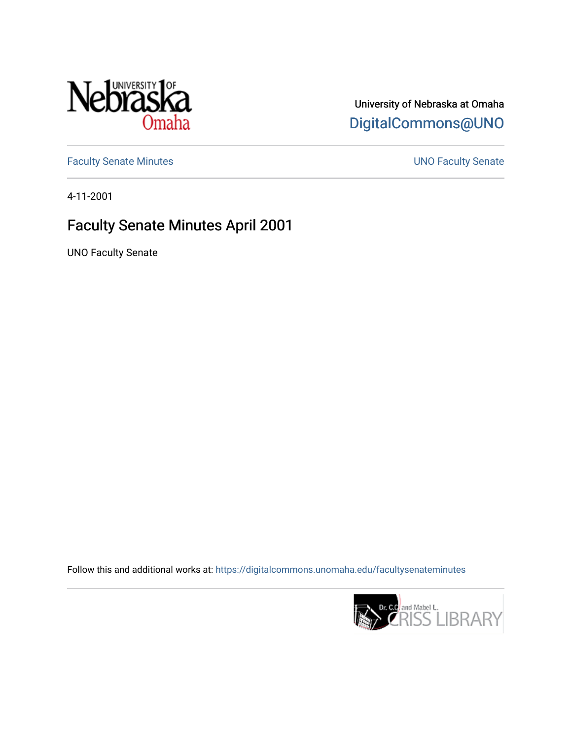

## University of Nebraska at Omaha [DigitalCommons@UNO](https://digitalcommons.unomaha.edu/)

[Faculty Senate Minutes](https://digitalcommons.unomaha.edu/facultysenateminutes) **Exercise Senate UNO Faculty Senate** 

4-11-2001

## Faculty Senate Minutes April 2001

UNO Faculty Senate

Follow this and additional works at: [https://digitalcommons.unomaha.edu/facultysenateminutes](https://digitalcommons.unomaha.edu/facultysenateminutes?utm_source=digitalcommons.unomaha.edu%2Ffacultysenateminutes%2F77&utm_medium=PDF&utm_campaign=PDFCoverPages) 

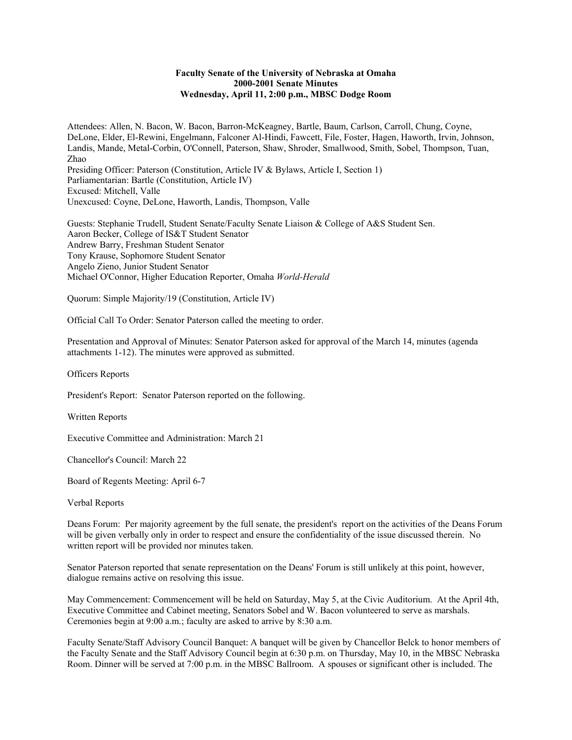## **Faculty Senate of the University of Nebraska at Omaha 2000-2001 Senate Minutes Wednesday, April 11, 2:00 p.m., MBSC Dodge Room**

Attendees: Allen, N. Bacon, W. Bacon, Barron-McKeagney, Bartle, Baum, Carlson, Carroll, Chung, Coyne, DeLone, Elder, El-Rewini, Engelmann, Falconer Al-Hindi, Fawcett, File, Foster, Hagen, Haworth, Irvin, Johnson, Landis, Mande, Metal-Corbin, O'Connell, Paterson, Shaw, Shroder, Smallwood, Smith, Sobel, Thompson, Tuan, Zhao Presiding Officer: Paterson (Constitution, Article IV & Bylaws, Article I, Section 1) Parliamentarian: Bartle (Constitution, Article IV) Excused: Mitchell, Valle

Unexcused: Coyne, DeLone, Haworth, Landis, Thompson, Valle

Guests: Stephanie Trudell, Student Senate/Faculty Senate Liaison & College of A&S Student Sen. Aaron Becker, College of IS&T Student Senator Andrew Barry, Freshman Student Senator Tony Krause, Sophomore Student Senator Angelo Zieno, Junior Student Senator Michael O'Connor, Higher Education Reporter, Omaha *World-Herald*

Quorum: Simple Majority/19 (Constitution, Article IV)

Official Call To Order: Senator Paterson called the meeting to order.

Presentation and Approval of Minutes: Senator Paterson asked for approval of the March 14, minutes (agenda attachments 1-12). The minutes were approved as submitted.

Officers Reports

President's Report: Senator Paterson reported on the following.

Written Reports

Executive Committee and Administration: March 21

Chancellor's Council: March 22

Board of Regents Meeting: April 6-7

Verbal Reports

Deans Forum: Per majority agreement by the full senate, the president's report on the activities of the Deans Forum will be given verbally only in order to respect and ensure the confidentiality of the issue discussed therein. No written report will be provided nor minutes taken.

Senator Paterson reported that senate representation on the Deans' Forum is still unlikely at this point, however, dialogue remains active on resolving this issue.

May Commencement: Commencement will be held on Saturday, May 5, at the Civic Auditorium. At the April 4th, Executive Committee and Cabinet meeting, Senators Sobel and W. Bacon volunteered to serve as marshals. Ceremonies begin at 9:00 a.m.; faculty are asked to arrive by 8:30 a.m.

Faculty Senate/Staff Advisory Council Banquet: A banquet will be given by Chancellor Belck to honor members of the Faculty Senate and the Staff Advisory Council begin at 6:30 p.m. on Thursday, May 10, in the MBSC Nebraska Room. Dinner will be served at 7:00 p.m. in the MBSC Ballroom. A spouses or significant other is included. The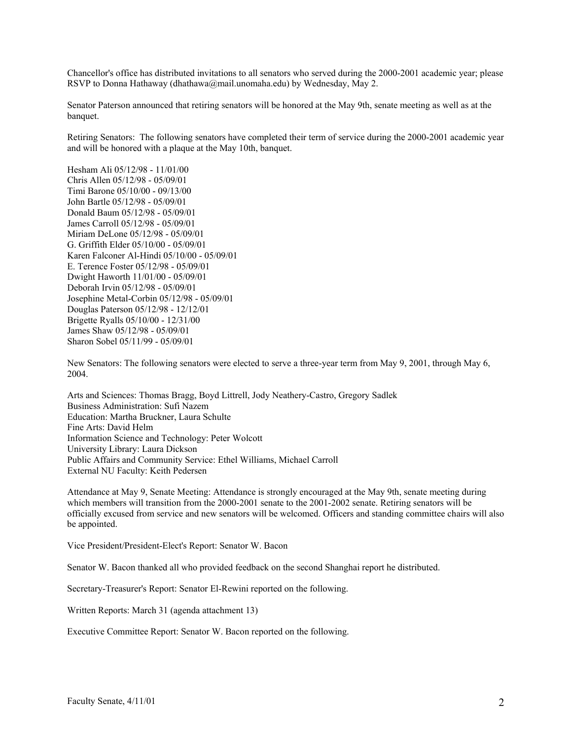Chancellor's office has distributed invitations to all senators who served during the 2000-2001 academic year; please RSVP to Donna Hathaway (dhathawa@mail.unomaha.edu) by Wednesday, May 2.

Senator Paterson announced that retiring senators will be honored at the May 9th, senate meeting as well as at the banquet.

Retiring Senators: The following senators have completed their term of service during the 2000-2001 academic year and will be honored with a plaque at the May 10th, banquet.

Hesham Ali 05/12/98 - 11/01/00 Chris Allen 05/12/98 - 05/09/01 Timi Barone 05/10/00 - 09/13/00 John Bartle 05/12/98 - 05/09/01 Donald Baum 05/12/98 - 05/09/01 James Carroll 05/12/98 - 05/09/01 Miriam DeLone 05/12/98 - 05/09/01 G. Griffith Elder 05/10/00 - 05/09/01 Karen Falconer Al-Hindi 05/10/00 - 05/09/01 E. Terence Foster 05/12/98 - 05/09/01 Dwight Haworth 11/01/00 - 05/09/01 Deborah Irvin 05/12/98 - 05/09/01 Josephine Metal-Corbin 05/12/98 - 05/09/01 Douglas Paterson 05/12/98 - 12/12/01 Brigette Ryalls 05/10/00 - 12/31/00 James Shaw 05/12/98 - 05/09/01 Sharon Sobel 05/11/99 - 05/09/01

New Senators: The following senators were elected to serve a three-year term from May 9, 2001, through May 6, 2004.

Arts and Sciences: Thomas Bragg, Boyd Littrell, Jody Neathery-Castro, Gregory Sadlek Business Administration: Sufi Nazem Education: Martha Bruckner, Laura Schulte Fine Arts: David Helm Information Science and Technology: Peter Wolcott University Library: Laura Dickson Public Affairs and Community Service: Ethel Williams, Michael Carroll External NU Faculty: Keith Pedersen

Attendance at May 9, Senate Meeting: Attendance is strongly encouraged at the May 9th, senate meeting during which members will transition from the 2000-2001 senate to the 2001-2002 senate. Retiring senators will be officially excused from service and new senators will be welcomed. Officers and standing committee chairs will also be appointed.

Vice President/President-Elect's Report: Senator W. Bacon

Senator W. Bacon thanked all who provided feedback on the second Shanghai report he distributed.

Secretary-Treasurer's Report: Senator El-Rewini reported on the following.

Written Reports: March 31 (agenda attachment 13)

Executive Committee Report: Senator W. Bacon reported on the following.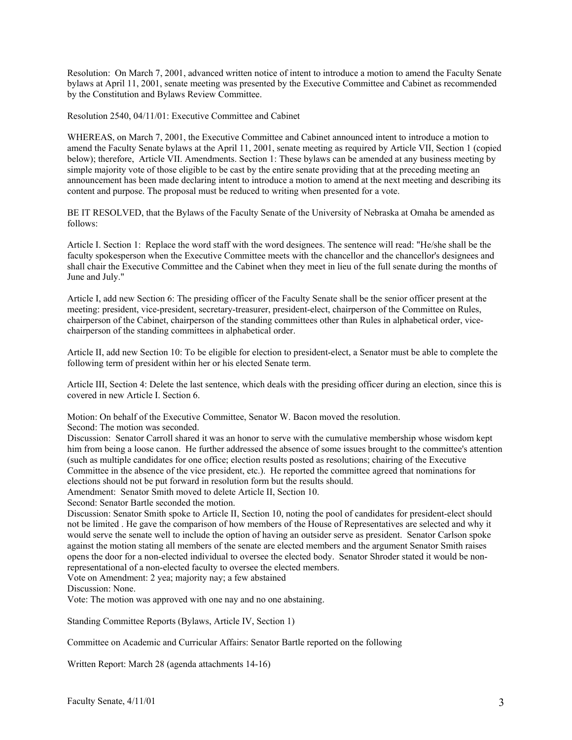Resolution: On March 7, 2001, advanced written notice of intent to introduce a motion to amend the Faculty Senate bylaws at April 11, 2001, senate meeting was presented by the Executive Committee and Cabinet as recommended by the Constitution and Bylaws Review Committee.

Resolution 2540, 04/11/01: Executive Committee and Cabinet

WHEREAS, on March 7, 2001, the Executive Committee and Cabinet announced intent to introduce a motion to amend the Faculty Senate bylaws at the April 11, 2001, senate meeting as required by Article VII, Section 1 (copied below); therefore, Article VII. Amendments. Section 1: These bylaws can be amended at any business meeting by simple majority vote of those eligible to be cast by the entire senate providing that at the preceding meeting an announcement has been made declaring intent to introduce a motion to amend at the next meeting and describing its content and purpose. The proposal must be reduced to writing when presented for a vote.

BE IT RESOLVED, that the Bylaws of the Faculty Senate of the University of Nebraska at Omaha be amended as follows:

Article I. Section 1: Replace the word staff with the word designees. The sentence will read: "He/she shall be the faculty spokesperson when the Executive Committee meets with the chancellor and the chancellor's designees and shall chair the Executive Committee and the Cabinet when they meet in lieu of the full senate during the months of June and July."

Article I, add new Section 6: The presiding officer of the Faculty Senate shall be the senior officer present at the meeting: president, vice-president, secretary-treasurer, president-elect, chairperson of the Committee on Rules, chairperson of the Cabinet, chairperson of the standing committees other than Rules in alphabetical order, vicechairperson of the standing committees in alphabetical order.

Article II, add new Section 10: To be eligible for election to president-elect, a Senator must be able to complete the following term of president within her or his elected Senate term.

Article III, Section 4: Delete the last sentence, which deals with the presiding officer during an election, since this is covered in new Article I. Section 6.

Motion: On behalf of the Executive Committee, Senator W. Bacon moved the resolution.

Second: The motion was seconded.

Discussion: Senator Carroll shared it was an honor to serve with the cumulative membership whose wisdom kept him from being a loose canon. He further addressed the absence of some issues brought to the committee's attention (such as multiple candidates for one office; election results posted as resolutions; chairing of the Executive Committee in the absence of the vice president, etc.). He reported the committee agreed that nominations for elections should not be put forward in resolution form but the results should.

Amendment: Senator Smith moved to delete Article II, Section 10.

Second: Senator Bartle seconded the motion.

Discussion: Senator Smith spoke to Article II, Section 10, noting the pool of candidates for president-elect should not be limited . He gave the comparison of how members of the House of Representatives are selected and why it would serve the senate well to include the option of having an outsider serve as president. Senator Carlson spoke against the motion stating all members of the senate are elected members and the argument Senator Smith raises opens the door for a non-elected individual to oversee the elected body. Senator Shroder stated it would be nonrepresentational of a non-elected faculty to oversee the elected members.

Vote on Amendment: 2 yea; majority nay; a few abstained

Discussion: None.

Vote: The motion was approved with one nay and no one abstaining.

Standing Committee Reports (Bylaws, Article IV, Section 1)

Committee on Academic and Curricular Affairs: Senator Bartle reported on the following

Written Report: March 28 (agenda attachments 14-16)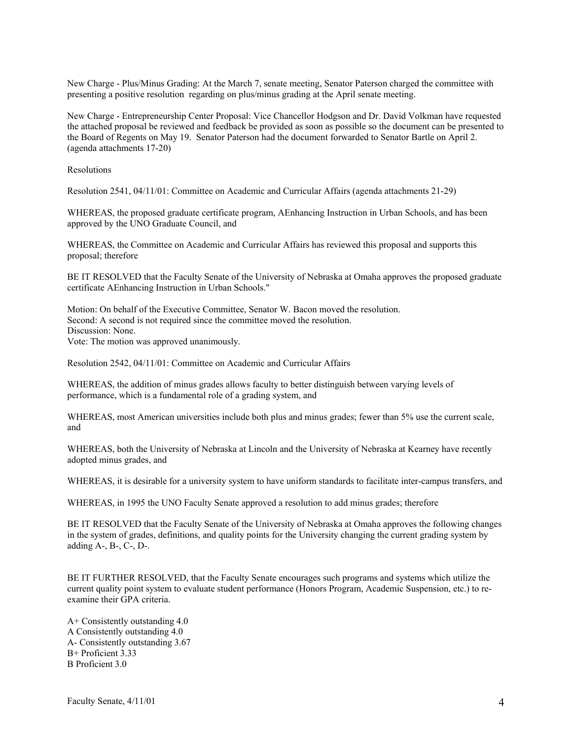New Charge - Plus/Minus Grading: At the March 7, senate meeting, Senator Paterson charged the committee with presenting a positive resolution regarding on plus/minus grading at the April senate meeting.

New Charge - Entrepreneurship Center Proposal: Vice Chancellor Hodgson and Dr. David Volkman have requested the attached proposal be reviewed and feedback be provided as soon as possible so the document can be presented to the Board of Regents on May 19. Senator Paterson had the document forwarded to Senator Bartle on April 2. (agenda attachments 17-20)

Resolutions

Resolution 2541, 04/11/01: Committee on Academic and Curricular Affairs (agenda attachments 21-29)

WHEREAS, the proposed graduate certificate program, AEnhancing Instruction in Urban Schools, and has been approved by the UNO Graduate Council, and

WHEREAS, the Committee on Academic and Curricular Affairs has reviewed this proposal and supports this proposal; therefore

BE IT RESOLVED that the Faculty Senate of the University of Nebraska at Omaha approves the proposed graduate certificate AEnhancing Instruction in Urban Schools."

Motion: On behalf of the Executive Committee, Senator W. Bacon moved the resolution. Second: A second is not required since the committee moved the resolution. Discussion: None. Vote: The motion was approved unanimously.

Resolution 2542, 04/11/01: Committee on Academic and Curricular Affairs

WHEREAS, the addition of minus grades allows faculty to better distinguish between varying levels of performance, which is a fundamental role of a grading system, and

WHEREAS, most American universities include both plus and minus grades; fewer than 5% use the current scale, and

WHEREAS, both the University of Nebraska at Lincoln and the University of Nebraska at Kearney have recently adopted minus grades, and

WHEREAS, it is desirable for a university system to have uniform standards to facilitate inter-campus transfers, and

WHEREAS, in 1995 the UNO Faculty Senate approved a resolution to add minus grades; therefore

BE IT RESOLVED that the Faculty Senate of the University of Nebraska at Omaha approves the following changes in the system of grades, definitions, and quality points for the University changing the current grading system by adding A-, B-, C-, D-.

BE IT FURTHER RESOLVED, that the Faculty Senate encourages such programs and systems which utilize the current quality point system to evaluate student performance (Honors Program, Academic Suspension, etc.) to reexamine their GPA criteria.

A+ Consistently outstanding 4.0 A Consistently outstanding 4.0 A- Consistently outstanding 3.67 B+ Proficient 3.33 B Proficient 3.0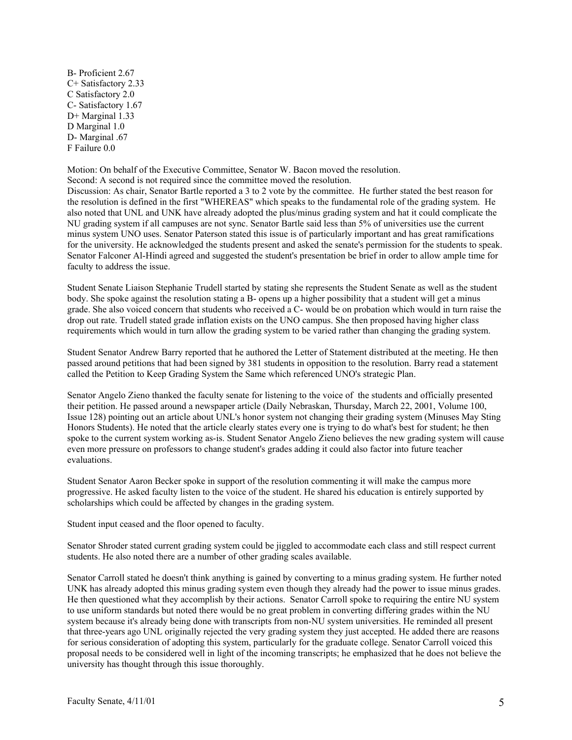B- Proficient 2.67 C+ Satisfactory 2.33 C Satisfactory 2.0 C- Satisfactory 1.67 D+ Marginal 1.33 D Marginal 1.0 D- Marginal .67 F Failure 0.0

Motion: On behalf of the Executive Committee, Senator W. Bacon moved the resolution. Second: A second is not required since the committee moved the resolution.

Discussion: As chair, Senator Bartle reported a 3 to 2 vote by the committee. He further stated the best reason for the resolution is defined in the first "WHEREAS" which speaks to the fundamental role of the grading system. He also noted that UNL and UNK have already adopted the plus/minus grading system and hat it could complicate the NU grading system if all campuses are not sync. Senator Bartle said less than 5% of universities use the current minus system UNO uses. Senator Paterson stated this issue is of particularly important and has great ramifications for the university. He acknowledged the students present and asked the senate's permission for the students to speak. Senator Falconer Al-Hindi agreed and suggested the student's presentation be brief in order to allow ample time for faculty to address the issue.

Student Senate Liaison Stephanie Trudell started by stating she represents the Student Senate as well as the student body. She spoke against the resolution stating a B- opens up a higher possibility that a student will get a minus grade. She also voiced concern that students who received a C- would be on probation which would in turn raise the drop out rate. Trudell stated grade inflation exists on the UNO campus. She then proposed having higher class requirements which would in turn allow the grading system to be varied rather than changing the grading system.

Student Senator Andrew Barry reported that he authored the Letter of Statement distributed at the meeting. He then passed around petitions that had been signed by 381 students in opposition to the resolution. Barry read a statement called the Petition to Keep Grading System the Same which referenced UNO's strategic Plan.

Senator Angelo Zieno thanked the faculty senate for listening to the voice of the students and officially presented their petition. He passed around a newspaper article (Daily Nebraskan, Thursday, March 22, 2001, Volume 100, Issue 128) pointing out an article about UNL's honor system not changing their grading system (Minuses May Sting Honors Students). He noted that the article clearly states every one is trying to do what's best for student; he then spoke to the current system working as-is. Student Senator Angelo Zieno believes the new grading system will cause even more pressure on professors to change student's grades adding it could also factor into future teacher evaluations.

Student Senator Aaron Becker spoke in support of the resolution commenting it will make the campus more progressive. He asked faculty listen to the voice of the student. He shared his education is entirely supported by scholarships which could be affected by changes in the grading system.

Student input ceased and the floor opened to faculty.

Senator Shroder stated current grading system could be jiggled to accommodate each class and still respect current students. He also noted there are a number of other grading scales available.

Senator Carroll stated he doesn't think anything is gained by converting to a minus grading system. He further noted UNK has already adopted this minus grading system even though they already had the power to issue minus grades. He then questioned what they accomplish by their actions. Senator Carroll spoke to requiring the entire NU system to use uniform standards but noted there would be no great problem in converting differing grades within the NU system because it's already being done with transcripts from non-NU system universities. He reminded all present that three-years ago UNL originally rejected the very grading system they just accepted. He added there are reasons for serious consideration of adopting this system, particularly for the graduate college. Senator Carroll voiced this proposal needs to be considered well in light of the incoming transcripts; he emphasized that he does not believe the university has thought through this issue thoroughly.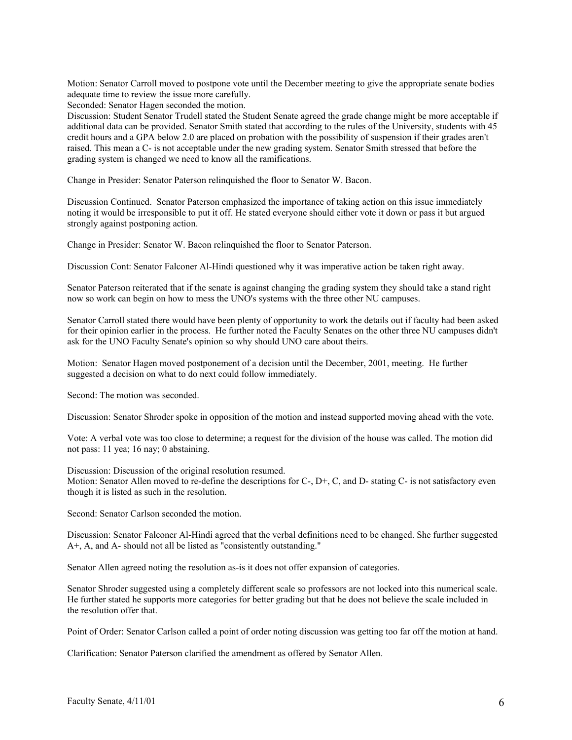Motion: Senator Carroll moved to postpone vote until the December meeting to give the appropriate senate bodies adequate time to review the issue more carefully.

Seconded: Senator Hagen seconded the motion.

Discussion: Student Senator Trudell stated the Student Senate agreed the grade change might be more acceptable if additional data can be provided. Senator Smith stated that according to the rules of the University, students with 45 credit hours and a GPA below 2.0 are placed on probation with the possibility of suspension if their grades aren't raised. This mean a C- is not acceptable under the new grading system. Senator Smith stressed that before the grading system is changed we need to know all the ramifications.

Change in Presider: Senator Paterson relinquished the floor to Senator W. Bacon.

Discussion Continued. Senator Paterson emphasized the importance of taking action on this issue immediately noting it would be irresponsible to put it off. He stated everyone should either vote it down or pass it but argued strongly against postponing action.

Change in Presider: Senator W. Bacon relinquished the floor to Senator Paterson.

Discussion Cont: Senator Falconer Al-Hindi questioned why it was imperative action be taken right away.

Senator Paterson reiterated that if the senate is against changing the grading system they should take a stand right now so work can begin on how to mess the UNO's systems with the three other NU campuses.

Senator Carroll stated there would have been plenty of opportunity to work the details out if faculty had been asked for their opinion earlier in the process. He further noted the Faculty Senates on the other three NU campuses didn't ask for the UNO Faculty Senate's opinion so why should UNO care about theirs.

Motion: Senator Hagen moved postponement of a decision until the December, 2001, meeting. He further suggested a decision on what to do next could follow immediately.

Second: The motion was seconded.

Discussion: Senator Shroder spoke in opposition of the motion and instead supported moving ahead with the vote.

Vote: A verbal vote was too close to determine; a request for the division of the house was called. The motion did not pass: 11 yea; 16 nay; 0 abstaining.

Discussion: Discussion of the original resolution resumed.

Motion: Senator Allen moved to re-define the descriptions for  $C_1$ ,  $D_1$ ,  $C_2$ , and  $D_2$ - stating  $C_2$ - is not satisfactory even though it is listed as such in the resolution.

Second: Senator Carlson seconded the motion.

Discussion: Senator Falconer Al-Hindi agreed that the verbal definitions need to be changed. She further suggested A+, A, and A- should not all be listed as "consistently outstanding."

Senator Allen agreed noting the resolution as-is it does not offer expansion of categories.

Senator Shroder suggested using a completely different scale so professors are not locked into this numerical scale. He further stated he supports more categories for better grading but that he does not believe the scale included in the resolution offer that.

Point of Order: Senator Carlson called a point of order noting discussion was getting too far off the motion at hand.

Clarification: Senator Paterson clarified the amendment as offered by Senator Allen.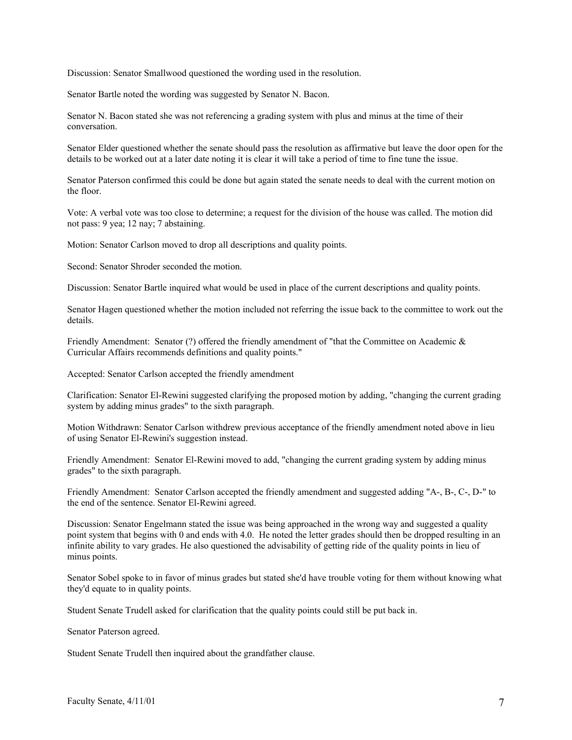Discussion: Senator Smallwood questioned the wording used in the resolution.

Senator Bartle noted the wording was suggested by Senator N. Bacon.

Senator N. Bacon stated she was not referencing a grading system with plus and minus at the time of their conversation.

Senator Elder questioned whether the senate should pass the resolution as affirmative but leave the door open for the details to be worked out at a later date noting it is clear it will take a period of time to fine tune the issue.

Senator Paterson confirmed this could be done but again stated the senate needs to deal with the current motion on the floor.

Vote: A verbal vote was too close to determine; a request for the division of the house was called. The motion did not pass: 9 yea; 12 nay; 7 abstaining.

Motion: Senator Carlson moved to drop all descriptions and quality points.

Second: Senator Shroder seconded the motion.

Discussion: Senator Bartle inquired what would be used in place of the current descriptions and quality points.

Senator Hagen questioned whether the motion included not referring the issue back to the committee to work out the details.

Friendly Amendment: Senator (?) offered the friendly amendment of "that the Committee on Academic & Curricular Affairs recommends definitions and quality points."

Accepted: Senator Carlson accepted the friendly amendment

Clarification: Senator El-Rewini suggested clarifying the proposed motion by adding, "changing the current grading system by adding minus grades" to the sixth paragraph.

Motion Withdrawn: Senator Carlson withdrew previous acceptance of the friendly amendment noted above in lieu of using Senator El-Rewini's suggestion instead.

Friendly Amendment: Senator El-Rewini moved to add, "changing the current grading system by adding minus grades" to the sixth paragraph.

Friendly Amendment: Senator Carlson accepted the friendly amendment and suggested adding "A-, B-, C-, D-" to the end of the sentence. Senator El-Rewini agreed.

Discussion: Senator Engelmann stated the issue was being approached in the wrong way and suggested a quality point system that begins with 0 and ends with 4.0. He noted the letter grades should then be dropped resulting in an infinite ability to vary grades. He also questioned the advisability of getting ride of the quality points in lieu of minus points.

Senator Sobel spoke to in favor of minus grades but stated she'd have trouble voting for them without knowing what they'd equate to in quality points.

Student Senate Trudell asked for clarification that the quality points could still be put back in.

Senator Paterson agreed.

Student Senate Trudell then inquired about the grandfather clause.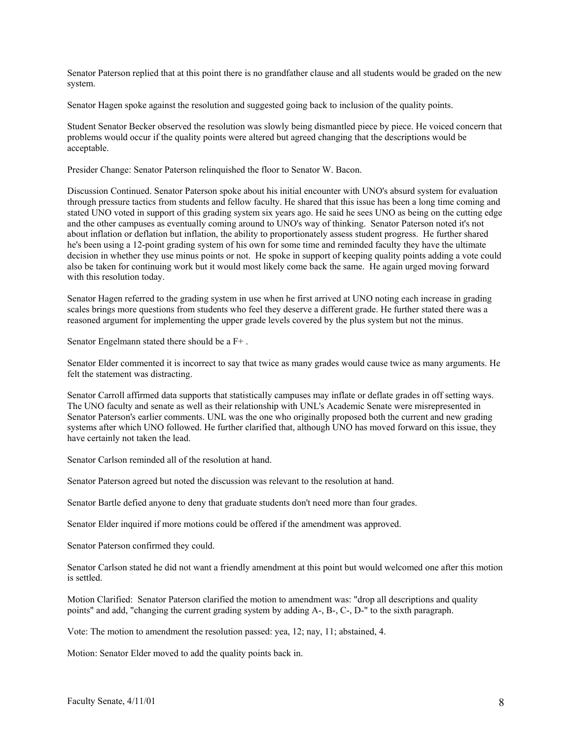Senator Paterson replied that at this point there is no grandfather clause and all students would be graded on the new system.

Senator Hagen spoke against the resolution and suggested going back to inclusion of the quality points.

Student Senator Becker observed the resolution was slowly being dismantled piece by piece. He voiced concern that problems would occur if the quality points were altered but agreed changing that the descriptions would be acceptable.

Presider Change: Senator Paterson relinquished the floor to Senator W. Bacon.

Discussion Continued. Senator Paterson spoke about his initial encounter with UNO's absurd system for evaluation through pressure tactics from students and fellow faculty. He shared that this issue has been a long time coming and stated UNO voted in support of this grading system six years ago. He said he sees UNO as being on the cutting edge and the other campuses as eventually coming around to UNO's way of thinking. Senator Paterson noted it's not about inflation or deflation but inflation, the ability to proportionately assess student progress. He further shared he's been using a 12-point grading system of his own for some time and reminded faculty they have the ultimate decision in whether they use minus points or not. He spoke in support of keeping quality points adding a vote could also be taken for continuing work but it would most likely come back the same. He again urged moving forward with this resolution today.

Senator Hagen referred to the grading system in use when he first arrived at UNO noting each increase in grading scales brings more questions from students who feel they deserve a different grade. He further stated there was a reasoned argument for implementing the upper grade levels covered by the plus system but not the minus.

Senator Engelmann stated there should be a F+ .

Senator Elder commented it is incorrect to say that twice as many grades would cause twice as many arguments. He felt the statement was distracting.

Senator Carroll affirmed data supports that statistically campuses may inflate or deflate grades in off setting ways. The UNO faculty and senate as well as their relationship with UNL's Academic Senate were misrepresented in Senator Paterson's earlier comments. UNL was the one who originally proposed both the current and new grading systems after which UNO followed. He further clarified that, although UNO has moved forward on this issue, they have certainly not taken the lead.

Senator Carlson reminded all of the resolution at hand.

Senator Paterson agreed but noted the discussion was relevant to the resolution at hand.

Senator Bartle defied anyone to deny that graduate students don't need more than four grades.

Senator Elder inquired if more motions could be offered if the amendment was approved.

Senator Paterson confirmed they could.

Senator Carlson stated he did not want a friendly amendment at this point but would welcomed one after this motion is settled.

Motion Clarified: Senator Paterson clarified the motion to amendment was: "drop all descriptions and quality points" and add, "changing the current grading system by adding A-, B-, C-, D-" to the sixth paragraph.

Vote: The motion to amendment the resolution passed: yea, 12; nay, 11; abstained, 4.

Motion: Senator Elder moved to add the quality points back in.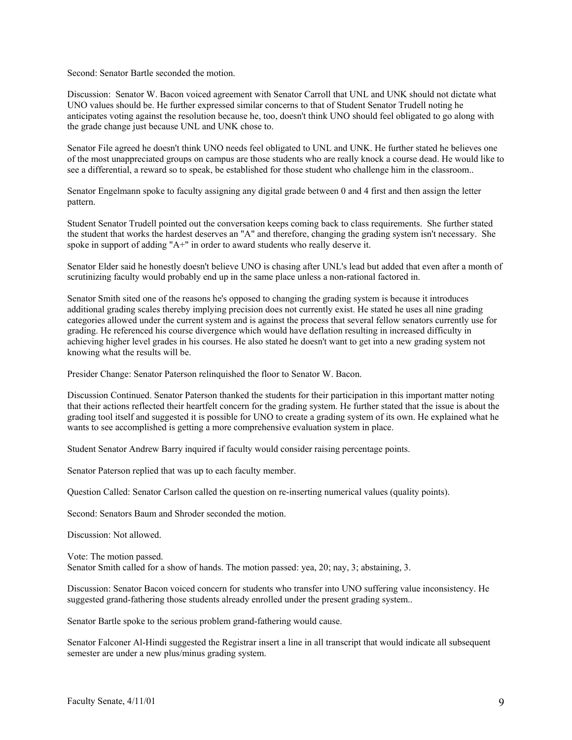Second: Senator Bartle seconded the motion.

Discussion: Senator W. Bacon voiced agreement with Senator Carroll that UNL and UNK should not dictate what UNO values should be. He further expressed similar concerns to that of Student Senator Trudell noting he anticipates voting against the resolution because he, too, doesn't think UNO should feel obligated to go along with the grade change just because UNL and UNK chose to.

Senator File agreed he doesn't think UNO needs feel obligated to UNL and UNK. He further stated he believes one of the most unappreciated groups on campus are those students who are really knock a course dead. He would like to see a differential, a reward so to speak, be established for those student who challenge him in the classroom..

Senator Engelmann spoke to faculty assigning any digital grade between 0 and 4 first and then assign the letter pattern.

Student Senator Trudell pointed out the conversation keeps coming back to class requirements. She further stated the student that works the hardest deserves an "A" and therefore, changing the grading system isn't necessary. She spoke in support of adding "A+" in order to award students who really deserve it.

Senator Elder said he honestly doesn't believe UNO is chasing after UNL's lead but added that even after a month of scrutinizing faculty would probably end up in the same place unless a non-rational factored in.

Senator Smith sited one of the reasons he's opposed to changing the grading system is because it introduces additional grading scales thereby implying precision does not currently exist. He stated he uses all nine grading categories allowed under the current system and is against the process that several fellow senators currently use for grading. He referenced his course divergence which would have deflation resulting in increased difficulty in achieving higher level grades in his courses. He also stated he doesn't want to get into a new grading system not knowing what the results will be.

Presider Change: Senator Paterson relinquished the floor to Senator W. Bacon.

Discussion Continued. Senator Paterson thanked the students for their participation in this important matter noting that their actions reflected their heartfelt concern for the grading system. He further stated that the issue is about the grading tool itself and suggested it is possible for UNO to create a grading system of its own. He explained what he wants to see accomplished is getting a more comprehensive evaluation system in place.

Student Senator Andrew Barry inquired if faculty would consider raising percentage points.

Senator Paterson replied that was up to each faculty member.

Question Called: Senator Carlson called the question on re-inserting numerical values (quality points).

Second: Senators Baum and Shroder seconded the motion.

Discussion: Not allowed.

Vote: The motion passed. Senator Smith called for a show of hands. The motion passed: yea, 20; nay, 3; abstaining, 3.

Discussion: Senator Bacon voiced concern for students who transfer into UNO suffering value inconsistency. He suggested grand-fathering those students already enrolled under the present grading system..

Senator Bartle spoke to the serious problem grand-fathering would cause.

Senator Falconer Al-Hindi suggested the Registrar insert a line in all transcript that would indicate all subsequent semester are under a new plus/minus grading system.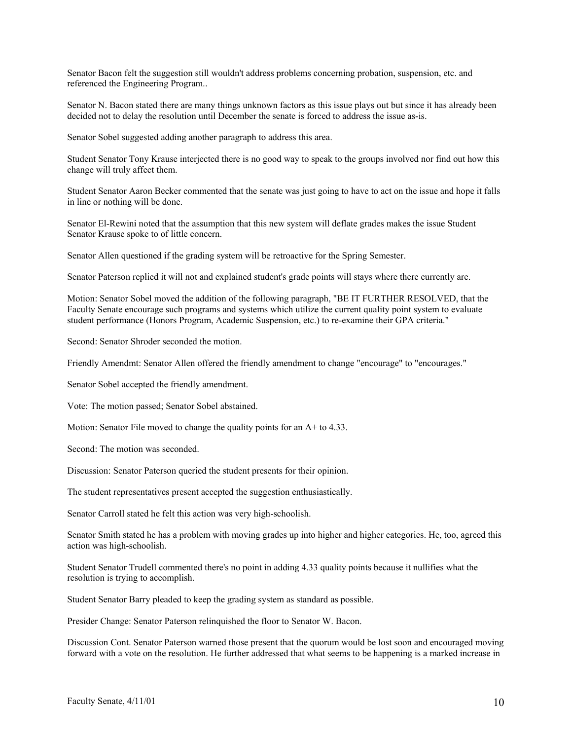Senator Bacon felt the suggestion still wouldn't address problems concerning probation, suspension, etc. and referenced the Engineering Program..

Senator N. Bacon stated there are many things unknown factors as this issue plays out but since it has already been decided not to delay the resolution until December the senate is forced to address the issue as-is.

Senator Sobel suggested adding another paragraph to address this area.

Student Senator Tony Krause interjected there is no good way to speak to the groups involved nor find out how this change will truly affect them.

Student Senator Aaron Becker commented that the senate was just going to have to act on the issue and hope it falls in line or nothing will be done.

Senator El-Rewini noted that the assumption that this new system will deflate grades makes the issue Student Senator Krause spoke to of little concern.

Senator Allen questioned if the grading system will be retroactive for the Spring Semester.

Senator Paterson replied it will not and explained student's grade points will stays where there currently are.

Motion: Senator Sobel moved the addition of the following paragraph, "BE IT FURTHER RESOLVED, that the Faculty Senate encourage such programs and systems which utilize the current quality point system to evaluate student performance (Honors Program, Academic Suspension, etc.) to re-examine their GPA criteria."

Second: Senator Shroder seconded the motion.

Friendly Amendmt: Senator Allen offered the friendly amendment to change "encourage" to "encourages."

Senator Sobel accepted the friendly amendment.

Vote: The motion passed; Senator Sobel abstained.

Motion: Senator File moved to change the quality points for an A+ to 4.33.

Second: The motion was seconded.

Discussion: Senator Paterson queried the student presents for their opinion.

The student representatives present accepted the suggestion enthusiastically.

Senator Carroll stated he felt this action was very high-schoolish.

Senator Smith stated he has a problem with moving grades up into higher and higher categories. He, too, agreed this action was high-schoolish.

Student Senator Trudell commented there's no point in adding 4.33 quality points because it nullifies what the resolution is trying to accomplish.

Student Senator Barry pleaded to keep the grading system as standard as possible.

Presider Change: Senator Paterson relinquished the floor to Senator W. Bacon.

Discussion Cont. Senator Paterson warned those present that the quorum would be lost soon and encouraged moving forward with a vote on the resolution. He further addressed that what seems to be happening is a marked increase in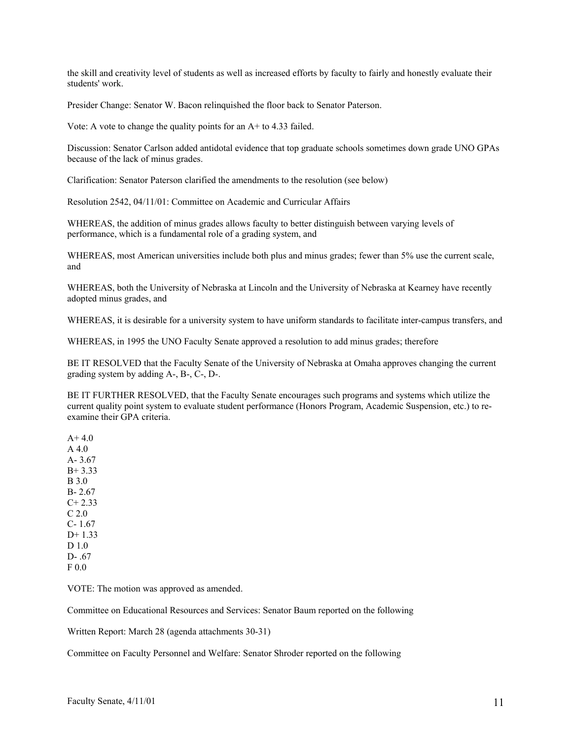the skill and creativity level of students as well as increased efforts by faculty to fairly and honestly evaluate their students' work.

Presider Change: Senator W. Bacon relinquished the floor back to Senator Paterson.

Vote: A vote to change the quality points for an A+ to 4.33 failed.

Discussion: Senator Carlson added antidotal evidence that top graduate schools sometimes down grade UNO GPAs because of the lack of minus grades.

Clarification: Senator Paterson clarified the amendments to the resolution (see below)

Resolution 2542, 04/11/01: Committee on Academic and Curricular Affairs

WHEREAS, the addition of minus grades allows faculty to better distinguish between varying levels of performance, which is a fundamental role of a grading system, and

WHEREAS, most American universities include both plus and minus grades; fewer than 5% use the current scale, and

WHEREAS, both the University of Nebraska at Lincoln and the University of Nebraska at Kearney have recently adopted minus grades, and

WHEREAS, it is desirable for a university system to have uniform standards to facilitate inter-campus transfers, and

WHEREAS, in 1995 the UNO Faculty Senate approved a resolution to add minus grades; therefore

BE IT RESOLVED that the Faculty Senate of the University of Nebraska at Omaha approves changing the current grading system by adding A-, B-, C-, D-.

BE IT FURTHER RESOLVED, that the Faculty Senate encourages such programs and systems which utilize the current quality point system to evaluate student performance (Honors Program, Academic Suspension, etc.) to reexamine their GPA criteria.

 $A+4.0$ A 4.0 A- 3.67 B+ 3.33 B 3.0 B- 2.67  $C+ 2.33$ C 2.0 C- 1.67 D+ 1.33 D 1.0 D- .67 F 0.0

VOTE: The motion was approved as amended.

Committee on Educational Resources and Services: Senator Baum reported on the following

Written Report: March 28 (agenda attachments 30-31)

Committee on Faculty Personnel and Welfare: Senator Shroder reported on the following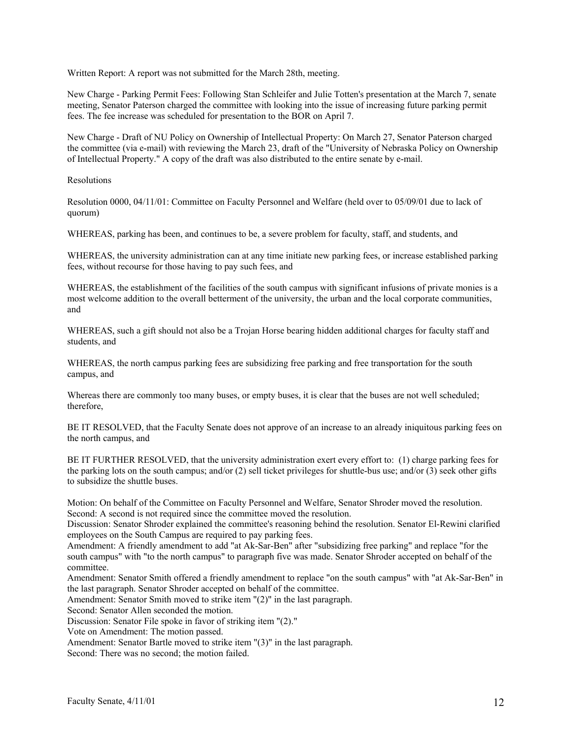Written Report: A report was not submitted for the March 28th, meeting.

New Charge - Parking Permit Fees: Following Stan Schleifer and Julie Totten's presentation at the March 7, senate meeting, Senator Paterson charged the committee with looking into the issue of increasing future parking permit fees. The fee increase was scheduled for presentation to the BOR on April 7.

New Charge - Draft of NU Policy on Ownership of Intellectual Property: On March 27, Senator Paterson charged the committee (via e-mail) with reviewing the March 23, draft of the "University of Nebraska Policy on Ownership of Intellectual Property." A copy of the draft was also distributed to the entire senate by e-mail.

Resolutions

Resolution 0000, 04/11/01: Committee on Faculty Personnel and Welfare (held over to 05/09/01 due to lack of quorum)

WHEREAS, parking has been, and continues to be, a severe problem for faculty, staff, and students, and

WHEREAS, the university administration can at any time initiate new parking fees, or increase established parking fees, without recourse for those having to pay such fees, and

WHEREAS, the establishment of the facilities of the south campus with significant infusions of private monies is a most welcome addition to the overall betterment of the university, the urban and the local corporate communities, and

WHEREAS, such a gift should not also be a Trojan Horse bearing hidden additional charges for faculty staff and students, and

WHEREAS, the north campus parking fees are subsidizing free parking and free transportation for the south campus, and

Whereas there are commonly too many buses, or empty buses, it is clear that the buses are not well scheduled; therefore,

BE IT RESOLVED, that the Faculty Senate does not approve of an increase to an already iniquitous parking fees on the north campus, and

BE IT FURTHER RESOLVED, that the university administration exert every effort to: (1) charge parking fees for the parking lots on the south campus; and/or (2) sell ticket privileges for shuttle-bus use; and/or (3) seek other gifts to subsidize the shuttle buses.

Motion: On behalf of the Committee on Faculty Personnel and Welfare, Senator Shroder moved the resolution. Second: A second is not required since the committee moved the resolution.

Discussion: Senator Shroder explained the committee's reasoning behind the resolution. Senator El-Rewini clarified employees on the South Campus are required to pay parking fees.

Amendment: A friendly amendment to add "at Ak-Sar-Ben" after "subsidizing free parking" and replace "for the south campus" with "to the north campus" to paragraph five was made. Senator Shroder accepted on behalf of the committee.

Amendment: Senator Smith offered a friendly amendment to replace "on the south campus" with "at Ak-Sar-Ben" in the last paragraph. Senator Shroder accepted on behalf of the committee.

Amendment: Senator Smith moved to strike item "(2)" in the last paragraph.

Second: Senator Allen seconded the motion.

Discussion: Senator File spoke in favor of striking item "(2)."

Vote on Amendment: The motion passed.

Amendment: Senator Bartle moved to strike item "(3)" in the last paragraph.

Second: There was no second; the motion failed.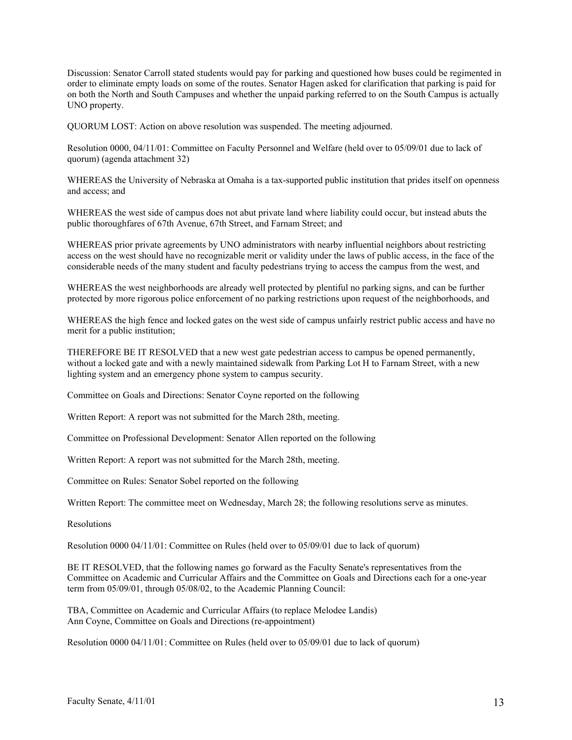Discussion: Senator Carroll stated students would pay for parking and questioned how buses could be regimented in order to eliminate empty loads on some of the routes. Senator Hagen asked for clarification that parking is paid for on both the North and South Campuses and whether the unpaid parking referred to on the South Campus is actually UNO property.

QUORUM LOST: Action on above resolution was suspended. The meeting adjourned.

Resolution 0000, 04/11/01: Committee on Faculty Personnel and Welfare (held over to 05/09/01 due to lack of quorum) (agenda attachment 32)

WHEREAS the University of Nebraska at Omaha is a tax-supported public institution that prides itself on openness and access; and

WHEREAS the west side of campus does not abut private land where liability could occur, but instead abuts the public thoroughfares of 67th Avenue, 67th Street, and Farnam Street; and

WHEREAS prior private agreements by UNO administrators with nearby influential neighbors about restricting access on the west should have no recognizable merit or validity under the laws of public access, in the face of the considerable needs of the many student and faculty pedestrians trying to access the campus from the west, and

WHEREAS the west neighborhoods are already well protected by plentiful no parking signs, and can be further protected by more rigorous police enforcement of no parking restrictions upon request of the neighborhoods, and

WHEREAS the high fence and locked gates on the west side of campus unfairly restrict public access and have no merit for a public institution;

THEREFORE BE IT RESOLVED that a new west gate pedestrian access to campus be opened permanently, without a locked gate and with a newly maintained sidewalk from Parking Lot H to Farnam Street, with a new lighting system and an emergency phone system to campus security.

Committee on Goals and Directions: Senator Coyne reported on the following

Written Report: A report was not submitted for the March 28th, meeting.

Committee on Professional Development: Senator Allen reported on the following

Written Report: A report was not submitted for the March 28th, meeting.

Committee on Rules: Senator Sobel reported on the following

Written Report: The committee meet on Wednesday, March 28; the following resolutions serve as minutes.

Resolutions

Resolution 0000 04/11/01: Committee on Rules (held over to 05/09/01 due to lack of quorum)

BE IT RESOLVED, that the following names go forward as the Faculty Senate's representatives from the Committee on Academic and Curricular Affairs and the Committee on Goals and Directions each for a one-year term from 05/09/01, through 05/08/02, to the Academic Planning Council:

TBA, Committee on Academic and Curricular Affairs (to replace Melodee Landis) Ann Coyne, Committee on Goals and Directions (re-appointment)

Resolution 0000 04/11/01: Committee on Rules (held over to 05/09/01 due to lack of quorum)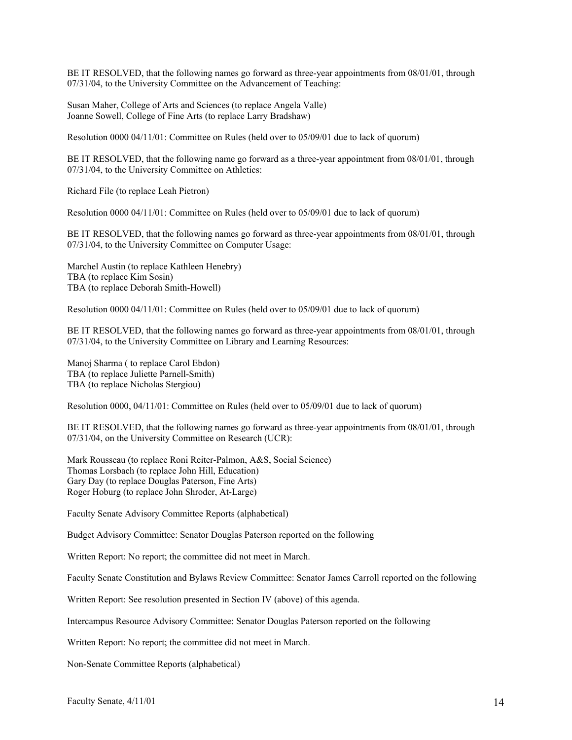BE IT RESOLVED, that the following names go forward as three-year appointments from 08/01/01, through 07/31/04, to the University Committee on the Advancement of Teaching:

Susan Maher, College of Arts and Sciences (to replace Angela Valle) Joanne Sowell, College of Fine Arts (to replace Larry Bradshaw)

Resolution 0000 04/11/01: Committee on Rules (held over to 05/09/01 due to lack of quorum)

BE IT RESOLVED, that the following name go forward as a three-year appointment from 08/01/01, through 07/31/04, to the University Committee on Athletics:

Richard File (to replace Leah Pietron)

Resolution 0000 04/11/01: Committee on Rules (held over to 05/09/01 due to lack of quorum)

BE IT RESOLVED, that the following names go forward as three-year appointments from 08/01/01, through 07/31/04, to the University Committee on Computer Usage:

Marchel Austin (to replace Kathleen Henebry) TBA (to replace Kim Sosin) TBA (to replace Deborah Smith-Howell)

Resolution 0000 04/11/01: Committee on Rules (held over to 05/09/01 due to lack of quorum)

BE IT RESOLVED, that the following names go forward as three-year appointments from 08/01/01, through 07/31/04, to the University Committee on Library and Learning Resources:

Manoj Sharma ( to replace Carol Ebdon) TBA (to replace Juliette Parnell-Smith) TBA (to replace Nicholas Stergiou)

Resolution 0000, 04/11/01: Committee on Rules (held over to 05/09/01 due to lack of quorum)

BE IT RESOLVED, that the following names go forward as three-year appointments from 08/01/01, through 07/31/04, on the University Committee on Research (UCR):

Mark Rousseau (to replace Roni Reiter-Palmon, A&S, Social Science) Thomas Lorsbach (to replace John Hill, Education) Gary Day (to replace Douglas Paterson, Fine Arts) Roger Hoburg (to replace John Shroder, At-Large)

Faculty Senate Advisory Committee Reports (alphabetical)

Budget Advisory Committee: Senator Douglas Paterson reported on the following

Written Report: No report; the committee did not meet in March.

Faculty Senate Constitution and Bylaws Review Committee: Senator James Carroll reported on the following

Written Report: See resolution presented in Section IV (above) of this agenda.

Intercampus Resource Advisory Committee: Senator Douglas Paterson reported on the following

Written Report: No report; the committee did not meet in March.

Non-Senate Committee Reports (alphabetical)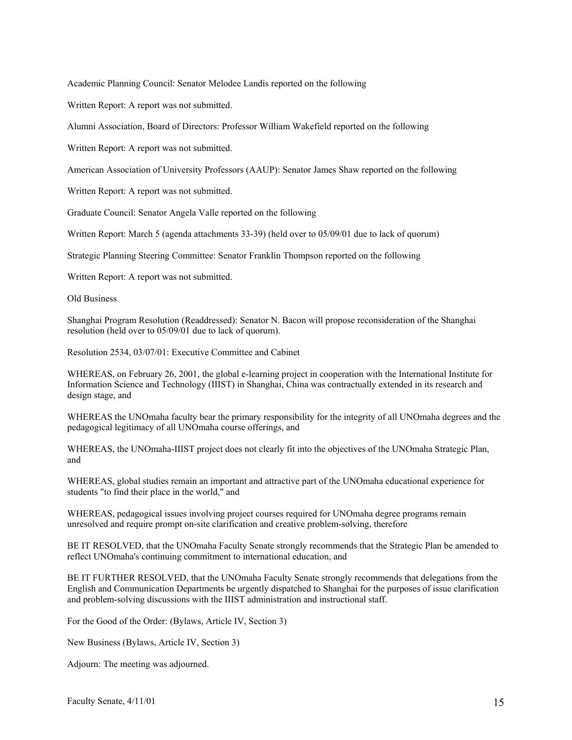Academic Planning Council: Senator Melodee Landis reported on the following

Written Report: A report was not submitted.

Alumni Association, Board of Directors: Professor William Wakefield reported on the following

Written Report: A report was not submitted.

American Association of University Professors (AAUP): Senator James Shaw reported on the following

Written Report: A report was not submitted.

Graduate Council: Senator Angela Valle reported on the following

Written Report: March 5 (agenda attachments 33-39) (held over to 05/09/01 due to lack of quorum)

Strategic Planning Steering Committee: Senator Franklin Thompson reported on the following

Written Report: A report was not submitted.

Old Business

Shanghai Program Resolution (Readdressed): Senator N. Bacon will propose reconsideration of the Shanghai resolution (held over to 05/09/01 due to lack of quorum).

Resolution 2534, 03/07/01: Executive Committee and Cabinet

WHEREAS, on February 26, 2001, the global e-learning project in cooperation with the International Institute for Information Science and Technology (IIIST) in Shanghai, China was contractually extended in its research and design stage, and

WHEREAS the UNOmaha faculty bear the primary responsibility for the integrity of all UNOmaha degrees and the pedagogical legitimacy of all UNOmaha course offerings, and

WHEREAS, the UNOmaha-IIIST project does not clearly fit into the objectives of the UNOmaha Strategic Plan, and

WHEREAS, global studies remain an important and attractive part of the UNOmaha educational experience for students "to find their place in the world," and

WHEREAS, pedagogical issues involving project courses required for UNOmaha degree programs remain unresolved and require prompt on-site clarification and creative problem-solving, therefore

BE IT RESOLVED, that the UNOmaha Faculty Senate strongly recommends that the Strategic Plan be amended to reflect UNOmaha's continuing commitment to international education, and

BE IT FURTHER RESOLVED, that the UNOmaha Faculty Senate strongly recommends that delegations from the English and Communication Departments be urgently dispatched to Shanghai for the purposes of issue clarification and problem-solving discussions with the IIIST administration and instructional staff.

For the Good of the Order: (Bylaws, Article IV, Section 3)

New Business (Bylaws, Article IV, Section 3)

Adjourn: The meeting was adjourned.